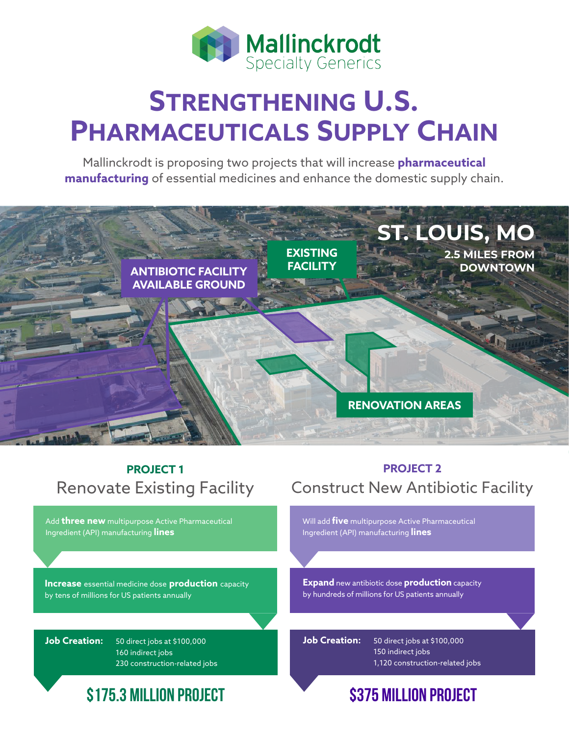

# **STRENGTHENING U.S. PHARMACEUTICALS SUPPLY CHAIN**

Mallinckrodt is proposing two projects that will increase **pharmaceutical manufacturing** of essential medicines and enhance the domestic supply chain.



## **PROJECT 1** Renovate Existing Facility

Add **three new** multipurpose Active Pharmaceutical Ingredient (API) manufacturing **lines**

**Increase** essential medicine dose **production** capacity by tens of millions for US patients annually

**Job Creation:** 50 direct jobs at \$100,000 160 indirect jobs 230 construction-related jobs

## **\$175.3 MILLION PROJECT \$375 MILLION PROJECT**

### **PROJECT 2** Construct New Antibiotic Facility

Will add **five** multipurpose Active Pharmaceutical Ingredient (API) manufacturing **lines** 

**Expand** new antibiotic dose **production** capacity by hundreds of millions for US patients annually

**Job Creation:** 50 direct jobs at \$100,000 150 indirect jobs 1,120 construction-related jobs